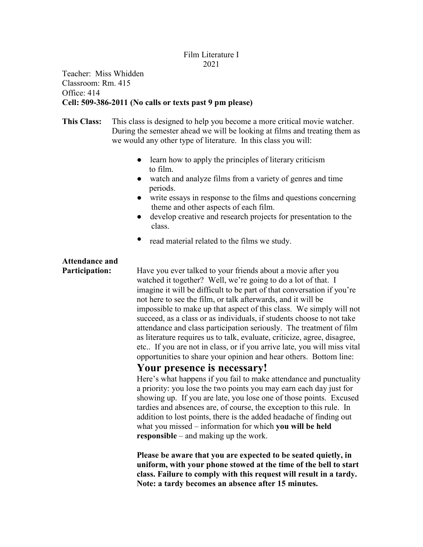## Film Literature I 2021

## Teacher: Miss Whidden Classroom: Rm. 415 Office: 414 **Cell: 509-386-2011 (No calls or texts past 9 pm please)**

- **This Class:** This class is designed to help you become a more critical movie watcher. During the semester ahead we will be looking at films and treating them as we would any other type of literature. In this class you will:
	- learn how to apply the principles of literary criticism to film.
	- watch and analyze films from a variety of genres and time periods.
	- write essays in response to the films and questions concerning theme and other aspects of each film.
	- develop creative and research projects for presentation to the class.
	- read material related to the films we study.

# **Attendance and**

**Participation:** Have you ever talked to your friends about a movie after you watched it together? Well, we're going to do a lot of that. I imagine it will be difficult to be part of that conversation if you're not here to see the film, or talk afterwards, and it will be impossible to make up that aspect of this class. We simply will not succeed, as a class or as individuals, if students choose to not take attendance and class participation seriously. The treatment of film as literature requires us to talk, evaluate, criticize, agree, disagree, etc.. If you are not in class, or if you arrive late, you will miss vital opportunities to share your opinion and hear others. Bottom line:

# **Your presence is necessary!**

Here's what happens if you fail to make attendance and punctuality a priority: you lose the two points you may earn each day just for showing up. If you are late, you lose one of those points. Excused tardies and absences are, of course, the exception to this rule. In addition to lost points, there is the added headache of finding out what you missed – information for which **you will be held responsible** – and making up the work.

**Please be aware that you are expected to be seated quietly, in uniform, with your phone stowed at the time of the bell to start class. Failure to comply with this request will result in a tardy. Note: a tardy becomes an absence after 15 minutes.**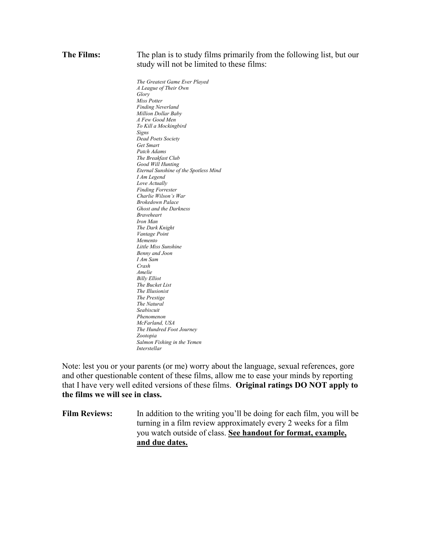#### **The Films:** The plan is to study films primarily from the following list, but our study will not be limited to these films:

*The Greatest Game Ever Played A League of Their Own Glory Miss Potter Finding Neverland Million Dollar Baby A Few Good Men To Kill a Mockingbird Signs Dead Poets Society Get Smart Patch Adams The Breakfast Club Good Will Hunting Eternal Sunshine of the Spotless Mind I Am Legend Love Actually Finding Forrester Charlie Wilson's War Brokedown Palace Ghost and the Darkness Braveheart Iron Man The Dark Knight Vantage Point Memento Little Miss Sunshine Benny and Joon I Am Sam Crash Amelie Billy Elliot The Bucket List The Illusionist The Prestige The Natural Seabiscuit Phenomenon McFarland, USA The Hundred Foot Journey Zootopia Salmon Fishing in the Yemen Interstellar*

Note: lest you or your parents (or me) worry about the language, sexual references, gore and other questionable content of these films, allow me to ease your minds by reporting that I have very well edited versions of these films. **Original ratings DO NOT apply to the films we will see in class.** 

**Film Reviews:** In addition to the writing you'll be doing for each film, you will be turning in a film review approximately every 2 weeks for a film you watch outside of class. **See handout for format, example, and due dates.**